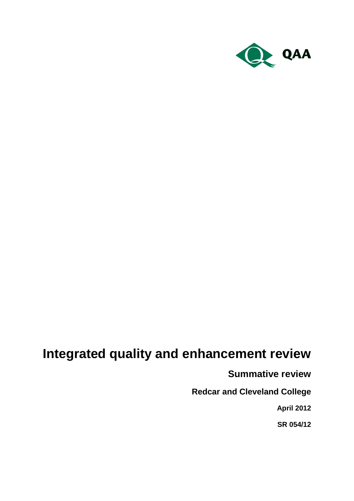

# **Integrated quality and enhancement review**

**Summative review**

**Redcar and Cleveland College**

**April 2012**

**SR 054/12**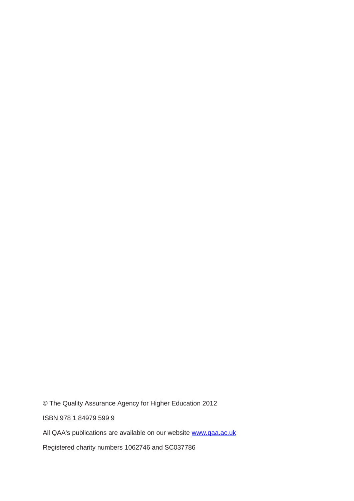© The Quality Assurance Agency for Higher Education 2012

ISBN 978 1 84979 599 9

All QAA's publications are available on our website [www.qaa.ac.uk](http://www.qaa.ac.uk/)

Registered charity numbers 1062746 and SC037786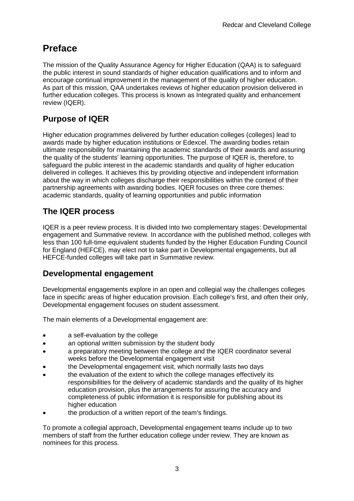## **Preface**

The mission of the Quality Assurance Agency for Higher Education (QAA) is to safeguard the public interest in sound standards of higher education qualifications and to inform and encourage continual improvement in the management of the quality of higher education. As part of this mission, QAA undertakes reviews of higher education provision delivered in further education colleges. This process is known as Integrated quality and enhancement review (IQER).

## **Purpose of IQER**

Higher education programmes delivered by further education colleges (colleges) lead to awards made by higher education institutions or Edexcel. The awarding bodies retain ultimate responsibility for maintaining the academic standards of their awards and assuring the quality of the students' learning opportunities. The purpose of IQER is, therefore, to safeguard the public interest in the academic standards and quality of higher education delivered in colleges. It achieves this by providing objective and independent information about the way in which colleges discharge their responsibilities within the context of their partnership agreements with awarding bodies. IQER focuses on three core themes: academic standards, quality of learning opportunities and public information

## **The IQER process**

IQER is a peer review process. It is divided into two complementary stages: Developmental engagement and Summative review. In accordance with the published method, colleges with less than 100 full-time equivalent students funded by the Higher Education Funding Council for England (HEFCE), may elect not to take part in Developmental engagements, but all HEFCE-funded colleges will take part in Summative review.

## **Developmental engagement**

Developmental engagements explore in an open and collegial way the challenges colleges face in specific areas of higher education provision. Each college's first, and often their only, Developmental engagement focuses on student assessment.

The main elements of a Developmental engagement are:

- a self-evaluation by the college
- an optional written submission by the student body  $\bullet$
- a preparatory meeting between the college and the IQER coordinator several weeks before the Developmental engagement visit
- the Developmental engagement visit, which normally lasts two days
- the evaluation of the extent to which the college manages effectively its responsibilities for the delivery of academic standards and the quality of its higher education provision, plus the arrangements for assuring the accuracy and completeness of public information it is responsible for publishing about its higher education
- the production of a written report of the team's findings.

To promote a collegial approach, Developmental engagement teams include up to two members of staff from the further education college under review. They are known as nominees for this process.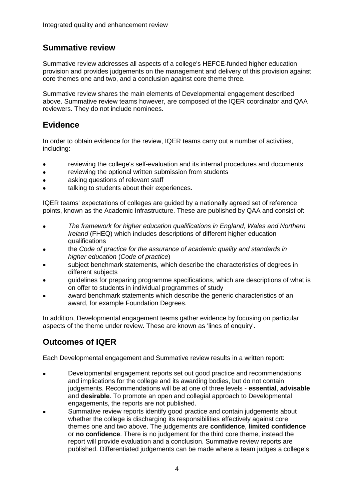## **Summative review**

Summative review addresses all aspects of a college's HEFCE-funded higher education provision and provides judgements on the management and delivery of this provision against core themes one and two, and a conclusion against core theme three.

Summative review shares the main elements of Developmental engagement described above. Summative review teams however, are composed of the IQER coordinator and QAA reviewers. They do not include nominees.

## **Evidence**

In order to obtain evidence for the review, IQER teams carry out a number of activities, including:

- reviewing the college's self-evaluation and its internal procedures and documents
- reviewing the optional written submission from students
- asking questions of relevant staff
- talking to students about their experiences.

IQER teams' expectations of colleges are guided by a nationally agreed set of reference points, known as the Academic Infrastructure. These are published by QAA and consist of:

- *The framework for higher education qualifications in England, Wales and Northern*   $\bullet$ *Ireland* (FHEQ) which includes descriptions of different higher education qualifications
- the *Code of practice for the assurance of academic quality and standards in higher education* (*Code of practice*)
- subject benchmark statements, which describe the characteristics of degrees in different subjects
- guidelines for preparing programme specifications, which are descriptions of what is on offer to students in individual programmes of study
- award benchmark statements which describe the generic characteristics of an award, for example Foundation Degrees.

In addition, Developmental engagement teams gather evidence by focusing on particular aspects of the theme under review. These are known as 'lines of enquiry'.

## **Outcomes of IQER**

Each Developmental engagement and Summative review results in a written report:

- Developmental engagement reports set out good practice and recommendations and implications for the college and its awarding bodies, but do not contain judgements. Recommendations will be at one of three levels - **essential**, **advisable** and **desirable**. To promote an open and collegial approach to Developmental engagements, the reports are not published.
- Summative review reports identify good practice and contain judgements about whether the college is discharging its responsibilities effectively against core themes one and two above. The judgements are **confidence**, **limited confidence** or **no confidence**. There is no judgement for the third core theme, instead the report will provide evaluation and a conclusion. Summative review reports are published. Differentiated judgements can be made where a team judges a college's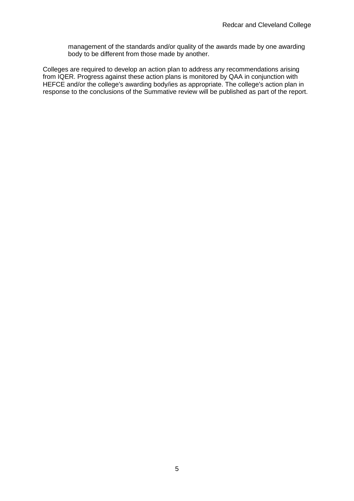management of the standards and/or quality of the awards made by one awarding body to be different from those made by another.

Colleges are required to develop an action plan to address any recommendations arising from IQER. Progress against these action plans is monitored by QAA in conjunction with HEFCE and/or the college's awarding body/ies as appropriate. The college's action plan in response to the conclusions of the Summative review will be published as part of the report.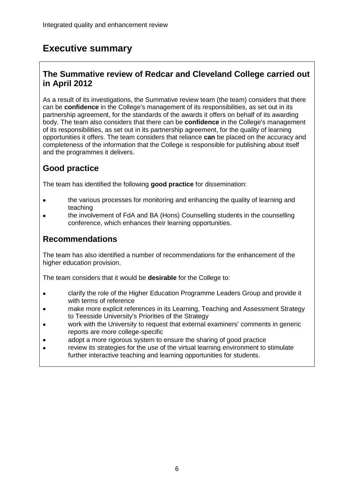## **Executive summary**

## **The Summative review of Redcar and Cleveland College carried out in April 2012**

As a result of its investigations, the Summative review team (the team) considers that there can be **confidence** in the College's management of its responsibilities, as set out in its partnership agreement, for the standards of the awards it offers on behalf of its awarding body. The team also considers that there can be **confidence** in the College's management of its responsibilities, as set out in its partnership agreement, for the quality of learning opportunities it offers. The team considers that reliance **can** be placed on the accuracy and completeness of the information that the College is responsible for publishing about itself and the programmes it delivers.

## **Good practice**

The team has identified the following **good practice** for dissemination:

- the various processes for monitoring and enhancing the quality of learning and teaching
- the involvement of FdA and BA (Hons) Counselling students in the counselling conference, which enhances their learning opportunities.

## **Recommendations**

The team has also identified a number of recommendations for the enhancement of the higher education provision.

The team considers that it would be **desirable** for the College to:

- clarify the role of the Higher Education Programme Leaders Group and provide it  $\bullet$ with terms of reference
- make more explicit references in its Learning, Teaching and Assessment Strategy to Teesside University's Priorities of the Strategy
- work with the University to request that external examiners' comments in generic reports are more college-specific
- adopt a more rigorous system to ensure the sharing of good practice  $\bullet$
- review its strategies for the use of the virtual learning environment to stimulate further interactive teaching and learning opportunities for students.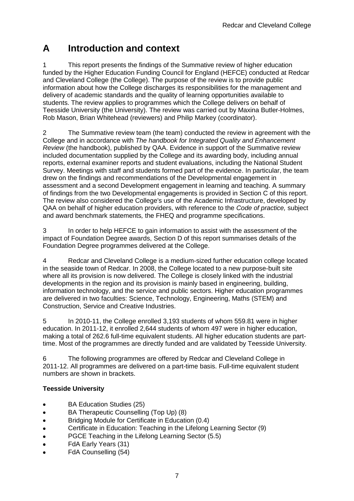## **A Introduction and context**

1 This report presents the findings of the Summative review of higher education funded by the Higher Education Funding Council for England (HEFCE) conducted at Redcar and Cleveland College (the College). The purpose of the review is to provide public information about how the College discharges its responsibilities for the management and delivery of academic standards and the quality of learning opportunities available to students. The review applies to programmes which the College delivers on behalf of Teesside University (the University). The review was carried out by Maxina Butler-Holmes, Rob Mason, Brian Whitehead (reviewers) and Philip Markey (coordinator).

2 The Summative review team (the team) conducted the review in agreement with the College and in accordance with *The handbook for Integrated Quality and Enhancement Review* (the handbook), published by QAA. Evidence in support of the Summative review included documentation supplied by the College and its awarding body, including annual reports, external examiner reports and student evaluations, including the National Student Survey. Meetings with staff and students formed part of the evidence. In particular, the team drew on the findings and recommendations of the Developmental engagement in assessment and a second Development engagement in learning and teaching. A summary of findings from the two Developmental engagements is provided in Section C of this report. The review also considered the College's use of the Academic Infrastructure, developed by QAA on behalf of higher education providers, with reference to the *Code of practice,* subject and award benchmark statements*,* the FHEQ and programme specifications.

3 In order to help HEFCE to gain information to assist with the assessment of the impact of Foundation Degree awards, Section D of this report summarises details of the Foundation Degree programmes delivered at the College.

4 Redcar and Cleveland College is a medium-sized further education college located in the seaside town of Redcar. In 2008, the College located to a new purpose-built site where all its provision is now delivered. The College is closely linked with the industrial developments in the region and its provision is mainly based in engineering, building, information technology, and the service and public sectors. Higher education programmes are delivered in two faculties: Science, Technology, Engineering, Maths (STEM) and Construction, Service and Creative Industries.

5 In 2010-11, the College enrolled 3,193 students of whom 559.81 were in higher education. In 2011-12, it enrolled 2,644 students of whom 497 were in higher education, making a total of 262.6 full-time equivalent students. All higher education students are parttime. Most of the programmes are directly funded and are validated by Teesside University.

6 The following programmes are offered by Redcar and Cleveland College in 2011-12. All programmes are delivered on a part-time basis. Full-time equivalent student numbers are shown in brackets.

#### **Teesside University**

- BA Education Studies (25)  $\bullet$
- BA Therapeutic Counselling (Top Up) (8)  $\bullet$
- Bridging Module for Certificate in Education (0.4)  $\bullet$
- Certificate in Education: Teaching in the Lifelong Learning Sector (9)  $\bullet$
- PGCE Teaching in the Lifelong Learning Sector (5.5)  $\bullet$
- FdA Early Years (31)  $\bullet$
- FdA Counselling (54)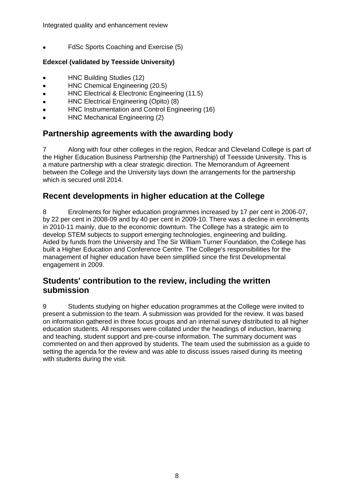Integrated quality and enhancement review

 $\bullet$ FdSc Sports Coaching and Exercise (5)

#### **Edexcel (validated by Teesside University)**

- HNC Building Studies (12)
- HNC Chemical Engineering (20.5)  $\bullet$
- HNC Electrical & Electronic Engineering (11.5)  $\bullet$
- HNC Electrical Engineering (Opito) (8)
- HNC Instrumentation and Control Engineering (16)
- HNC Mechanical Engineering (2)

## **Partnership agreements with the awarding body**

7 Along with four other colleges in the region, Redcar and Cleveland College is part of the Higher Education Business Partnership (the Partnership) of Teesside University. This is a mature partnership with a clear strategic direction. The Memorandum of Agreement between the College and the University lays down the arrangements for the partnership which is secured until 2014.

## **Recent developments in higher education at the College**

8 Enrolments for higher education programmes increased by 17 per cent in 2006-07, by 22 per cent in 2008-09 and by 40 per cent in 2009-10. There was a decline in enrolments in 2010-11 mainly, due to the economic downturn. The College has a strategic aim to develop STEM subjects to support emerging technologies, engineering and building. Aided by funds from the University and The Sir William Turner Foundation, the College has built a Higher Education and Conference Centre. The College's responsibilities for the management of higher education have been simplified since the first Developmental engagement in 2009.

### **Students' contribution to the review, including the written submission**

9 Students studying on higher education programmes at the College were invited to present a submission to the team. A submission was provided for the review. It was based on information gathered in three focus groups and an internal survey distributed to all higher education students. All responses were collated under the headings of induction, learning and teaching, student support and pre-course information. The summary document was commented on and then approved by students. The team used the submission as a guide to setting the agenda for the review and was able to discuss issues raised during its meeting with students during the visit.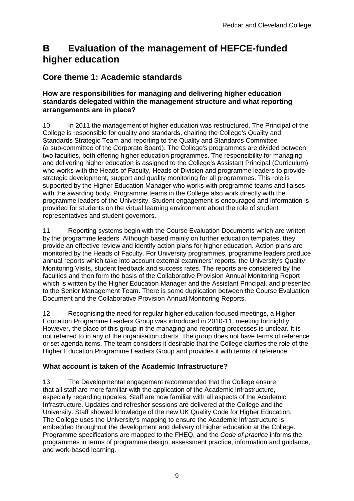## **B Evaluation of the management of HEFCE-funded higher education**

## **Core theme 1: Academic standards**

#### **How are responsibilities for managing and delivering higher education standards delegated within the management structure and what reporting arrangements are in place?**

10 In 2011 the management of higher education was restructured. The Principal of the College is responsible for quality and standards, chairing the College's Quality and Standards Strategic Team and reporting to the Quality and Standards Committee (a sub-committee of the Corporate Board). The College's programmes are divided between two facuities, both offering higher education programmes. The responsibility for managing and delivering higher education is assigned to the College's Assistant Principal (Curriculum) who works with the Heads of Faculty, Heads of Division and programme leaders to provide strategic development, support and quality monitoring for all programmes. This role is supported by the Higher Education Manager who works with programme teams and liaises with the awarding body. Programme teams in the College also work directly with the programme leaders of the University. Student engagement is encouraged and information is provided for students on the virtual learning environment about the role of student representatives and student governors.

11 Reporting systems begin with the Course Evaluation Documents which are written by the programme leaders. Although based mainly on further education templates, they provide an effective review and identify action plans for higher education. Action plans are monitored by the Heads of Faculty. For University programmes, programme leaders produce annual reports which take into account external examiners' reports, the University's Quality Monitoring Visits, student feedback and success rates. The reports are considered by the faculties and then form the basis of the Collaborative Provision Annual Monitoring Report which is written by the Higher Education Manager and the Assistant Principal, and presented to the Senior Management Team. There is some duplication between the Course Evaluation Document and the Collaborative Provision Annual Monitoring Reports.

12 Recognising the need for regular higher education-focused meetings, a Higher Education Programme Leaders Group was introduced in 2010-11, meeting fortnightly. However, the place of this group in the managing and reporting processes is unclear. It is not referred to in any of the organisation charts. The group does not have terms of reference or set agenda items. The team considers it desirable that the College clarifies the role of the Higher Education Programme Leaders Group and provides it with terms of reference.

### **What account is taken of the Academic Infrastructure?**

13 The Developmental engagement recommended that the College ensure that all staff are more familiar with the application of the Academic Infrastructure, especially regarding updates. Staff are now familiar with all aspects of the Academic Infrastructure. Updates and refresher sessions are delivered at the College and the University. Staff showed knowledge of the new UK Quality Code for Higher Education. The College uses the University's mapping to ensure the Academic Infrastructure is embedded throughout the development and delivery of higher education at the College. Programme specifications are mapped to the FHEQ, and the *Code of practice* informs the programmes in terms of programme design, assessment practice, information and guidance, and work-based learning.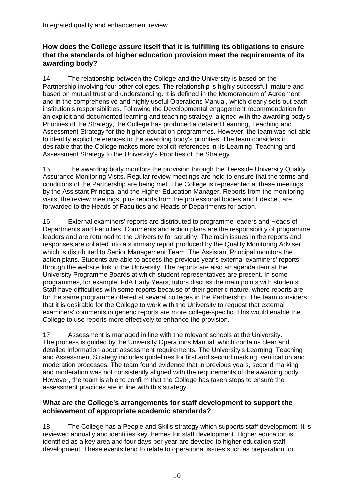#### **How does the College assure itself that it is fulfilling its obligations to ensure that the standards of higher education provision meet the requirements of its awarding body?**

14 The relationship between the College and the University is based on the Partnership involving four other colleges. The relationship is highly successful, mature and based on mutual trust and understanding. It is defined in the Memorandum of Agreement and in the comprehensive and highly useful Operations Manual, which clearly sets out each institution's responsibilities. Following the Developmental engagement recommendation for an explicit and documented learning and teaching strategy, aligned with the awarding body's Priorities of the Strategy, the College has produced a detailed Learning, Teaching and Assessment Strategy for the higher education programmes. However, the team was not able to identify explicit references to the awarding body's priorities. The team considers it desirable that the College makes more explicit references in its Learning, Teaching and Assessment Strategy to the University's Priorities of the Strategy.

15 The awarding body monitors the provision through the Teesside University Quality Assurance Monitoring Visits. Regular review meetings are held to ensure that the terms and conditions of the Partnership are being met. The College is represented at these meetings by the Assistant Principal and the Higher Education Manager. Reports from the monitoring visits, the review meetings, plus reports from the professional bodies and Edexcel, are forwarded to the Heads of Faculties and Heads of Departments for action.

16 External examiners' reports are distributed to programme leaders and Heads of Departments and Faculties. Comments and action plans are the responsibility of programme leaders and are returned to the University for scrutiny. The main issues in the reports and responses are collated into a summary report produced by the Quality Monitoring Adviser which is distributed to Senior Management Team. The Assistant Principal monitors the action plans. Students are able to access the previous year's external examiners' reports through the website link to the University. The reports are also an agenda item at the University Programme Boards at which student representatives are present. In some programmes, for example, FdA Early Years, tutors discuss the main points with students. Staff have difficulties with some reports because of their generic nature, where reports are for the same programme offered at several colleges in the Partnership. The team considers that it is desirable for the College to work with the University to request that external examiners' comments in generic reports are more college-specific. This would enable the College to use reports more effectively to enhance the provision.

17 Assessment is managed in line with the relevant schools at the University. The process is guided by the University Operations Manual, which contains clear and detailed information about assessment requirements. The University's Learning, Teaching and Assessment Strategy includes guidelines for first and second marking, verification and moderation processes. The team found evidence that in previous years, second marking and moderation was not consistently aligned with the requirements of the awarding body. However, the team is able to confirm that the College has taken steps to ensure the assessment practices are in line with this strategy.

#### **What are the College's arrangements for staff development to support the achievement of appropriate academic standards?**

18 The College has a People and Skills strategy which supports staff development. It is reviewed annually and identifies key themes for staff development. Higher education is identified as a key area and four days per year are devoted to higher education staff development. These events tend to relate to operational issues such as preparation for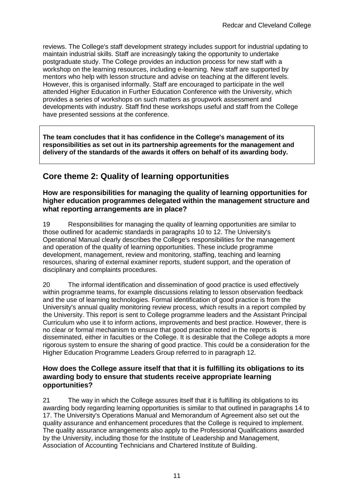reviews. The College's staff development strategy includes support for industrial updating to maintain industrial skills. Staff are increasingly taking the opportunity to undertake postgraduate study. The College provides an induction process for new staff with a workshop on the learning resources, including e-learning. New staff are supported by mentors who help with lesson structure and advise on teaching at the different levels. However, this is organised informally. Staff are encouraged to participate in the well attended Higher Education in Further Education Conference with the University, which provides a series of workshops on such matters as groupwork assessment and developments with industry. Staff find these workshops useful and staff from the College have presented sessions at the conference.

**The team concludes that it has confidence in the College's management of its responsibilities as set out in its partnership agreements for the management and delivery of the standards of the awards it offers on behalf of its awarding body.**

## **Core theme 2: Quality of learning opportunities**

#### **How are responsibilities for managing the quality of learning opportunities for higher education programmes delegated within the management structure and what reporting arrangements are in place?**

19 Responsibilities for managing the quality of learning opportunities are similar to those outlined for academic standards in paragraphs 10 to 12. The University's Operational Manual clearly describes the College's responsibilities for the management and operation of the quality of learning opportunities. These include programme development, management, review and monitoring, staffing, teaching and learning resources, sharing of external examiner reports, student support, and the operation of disciplinary and complaints procedures.

20 The informal identification and dissemination of good practice is used effectively within programme teams, for example discussions relating to lesson observation feedback and the use of learning technologies. Formal identification of good practice is from the University's annual quality monitoring review process, which results in a report compiled by the University. This report is sent to College programme leaders and the Assistant Principal Curriculum who use it to inform actions, improvements and best practice. However, there is no clear or formal mechanism to ensure that good practice noted in the reports is disseminated, either in faculties or the College. It is desirable that the College adopts a more rigorous system to ensure the sharing of good practice. This could be a consideration for the Higher Education Programme Leaders Group referred to in paragraph 12.

#### **How does the College assure itself that that it is fulfilling its obligations to its awarding body to ensure that students receive appropriate learning opportunities?**

21 The way in which the College assures itself that it is fulfilling its obligations to its awarding body regarding learning opportunities is similar to that outlined in paragraphs 14 to 17. The University's Operations Manual and Memorandum of Agreement also set out the quality assurance and enhancement procedures that the College is required to implement. The quality assurance arrangements also apply to the Professional Qualifications awarded by the University, including those for the Institute of Leadership and Management, Association of Accounting Technicians and Chartered Institute of Building.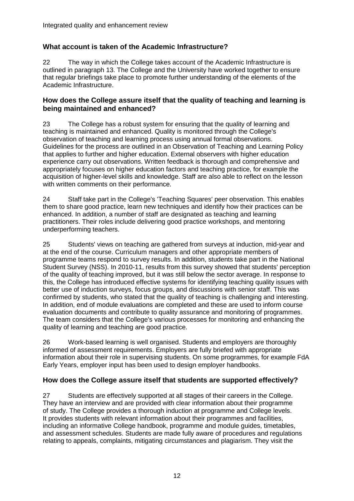#### **What account is taken of the Academic Infrastructure?**

22 The way in which the College takes account of the Academic Infrastructure is outlined in paragraph 13. The College and the University have worked together to ensure that regular briefings take place to promote further understanding of the elements of the Academic Infrastructure.

#### **How does the College assure itself that the quality of teaching and learning is being maintained and enhanced?**

23 The College has a robust system for ensuring that the quality of learning and teaching is maintained and enhanced. Quality is monitored through the College's observation of teaching and learning process using annual formal observations. Guidelines for the process are outlined in an Observation of Teaching and Learning Policy that applies to further and higher education. External observers with higher education experience carry out observations. Written feedback is thorough and comprehensive and appropriately focuses on higher education factors and teaching practice, for example the acquisition of higher-level skills and knowledge. Staff are also able to reflect on the lesson with written comments on their performance.

24 Staff take part in the College's 'Teaching Squares' peer observation. This enables them to share good practice, learn new techniques and identify how their practices can be enhanced. In addition, a number of staff are designated as teaching and learning practitioners. Their roles include delivering good practice workshops, and mentoring underperforming teachers.

25 Students' views on teaching are gathered from surveys at induction, mid-year and at the end of the course. Curriculum managers and other appropriate members of programme teams respond to survey results. In addition, students take part in the National Student Survey (NSS). In 2010-11, results from this survey showed that students' perception of the quality of teaching improved, but it was still below the sector average. In response to this, the College has introduced effective systems for identifying teaching quality issues with better use of induction surveys, focus groups, and discussions with senior staff. This was confirmed by students, who stated that the quality of teaching is challenging and interesting. In addition, end of module evaluations are completed and these are used to inform course evaluation documents and contribute to quality assurance and monitoring of programmes. The team considers that the College's various processes for monitoring and enhancing the quality of learning and teaching are good practice.

26 Work-based learning is well organised. Students and employers are thoroughly informed of assessment requirements. Employers are fully briefed with appropriate information about their role in supervising students. On some programmes, for example FdA Early Years, employer input has been used to design employer handbooks.

#### **How does the College assure itself that students are supported effectively?**

27 Students are effectively supported at all stages of their careers in the College. They have an interview and are provided with clear information about their programme of study. The College provides a thorough induction at programme and College levels. It provides students with relevant information about their programmes and facilities, including an informative College handbook, programme and module guides, timetables, and assessment schedules. Students are made fully aware of procedures and regulations relating to appeals, complaints, mitigating circumstances and plagiarism. They visit the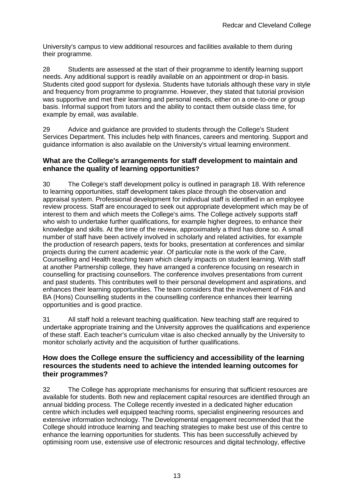University's campus to view additional resources and facilities available to them during their programme.

28 Students are assessed at the start of their programme to identify learning support needs. Any additional support is readily available on an appointment or drop-in basis. Students cited good support for dyslexia. Students have tutorials although these vary in style and frequency from programme to programme. However, they stated that tutorial provision was supportive and met their learning and personal needs, either on a one-to-one or group basis. Informal support from tutors and the ability to contact them outside class time, for example by email, was available.

29 Advice and guidance are provided to students through the College's Student Services Department. This includes help with finances, careers and mentoring. Support and guidance information is also available on the University's virtual learning environment.

#### **What are the College's arrangements for staff development to maintain and enhance the quality of learning opportunities?**

30 The College's staff development policy is outlined in paragraph 18. With reference to learning opportunities, staff development takes place through the observation and appraisal system. Professional development for individual staff is identified in an employee review process. Staff are encouraged to seek out appropriate development which may be of interest to them and which meets the College's aims. The College actively supports staff who wish to undertake further qualifications, for example higher degrees, to enhance their knowledge and skills. At the time of the review, approximately a third has done so. A small number of staff have been actively involved in scholarly and related activities, for example the production of research papers, texts for books, presentation at conferences and similar projects during the current academic year. Of particular note is the work of the Care, Counselling and Health teaching team which clearly impacts on student learning. With staff at another Partnership college, they have arranged a conference focusing on research in counselling for practising counsellors. The conference involves presentations from current and past students. This contributes well to their personal development and aspirations, and enhances their learning opportunities. The team considers that the involvement of FdA and BA (Hons) Counselling students in the counselling conference enhances their learning opportunities and is good practice.

31 All staff hold a relevant teaching qualification. New teaching staff are required to undertake appropriate training and the University approves the qualifications and experience of these staff. Each teacher's curriculum vitae is also checked annually by the University to monitor scholarly activity and the acquisition of further qualifications.

#### **How does the College ensure the sufficiency and accessibility of the learning resources the students need to achieve the intended learning outcomes for their programmes?**

32 The College has appropriate mechanisms for ensuring that sufficient resources are available for students. Both new and replacement capital resources are identified through an annual bidding process. The College recently invested in a dedicated higher education centre which includes well equipped teaching rooms, specialist engineering resources and extensive information technology. The Developmental engagement recommended that the College should introduce learning and teaching strategies to make best use of this centre to enhance the learning opportunities for students. This has been successfully achieved by optimising room use, extensive use of electronic resources and digital technology, effective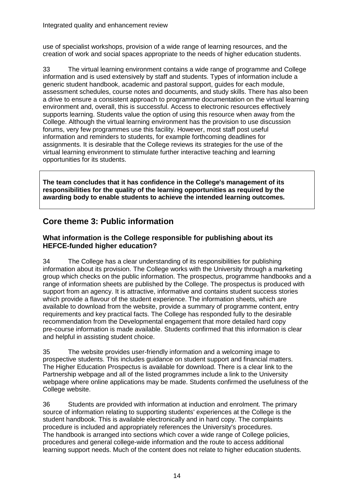use of specialist workshops, provision of a wide range of learning resources, and the creation of work and social spaces appropriate to the needs of higher education students.

33 The virtual learning environment contains a wide range of programme and College information and is used extensively by staff and students. Types of information include a generic student handbook, academic and pastoral support, guides for each module, assessment schedules, course notes and documents, and study skills. There has also been a drive to ensure a consistent approach to programme documentation on the virtual learning environment and, overall, this is successful. Access to electronic resources effectively supports learning. Students value the option of using this resource when away from the College. Although the virtual learning environment has the provision to use discussion forums, very few programmes use this facility. However, most staff post useful information and reminders to students, for example forthcoming deadlines for assignments. It is desirable that the College reviews its strategies for the use of the virtual learning environment to stimulate further interactive teaching and learning opportunities for its students.

**The team concludes that it has confidence in the College's management of its responsibilities for the quality of the learning opportunities as required by the awarding body to enable students to achieve the intended learning outcomes.**

## **Core theme 3: Public information**

#### **What information is the College responsible for publishing about its HEFCE-funded higher education?**

34 The College has a clear understanding of its responsibilities for publishing information about its provision. The College works with the University through a marketing group which checks on the public information. The prospectus, programme handbooks and a range of information sheets are published by the College. The prospectus is produced with support from an agency. It is attractive, informative and contains student success stories which provide a flavour of the student experience. The information sheets, which are available to download from the website, provide a summary of programme content, entry requirements and key practical facts. The College has responded fully to the desirable recommendation from the Developmental engagement that more detailed hard copy pre-course information is made available. Students confirmed that this information is clear and helpful in assisting student choice.

35 The website provides user-friendly information and a welcoming image to prospective students. This includes guidance on student support and financial matters. The Higher Education Prospectus is available for download. There is a clear link to the Partnership webpage and all of the listed programmes include a link to the University webpage where online applications may be made. Students confirmed the usefulness of the College website.

36 Students are provided with information at induction and enrolment. The primary source of information relating to supporting students' experiences at the College is the student handbook. This is available electronically and in hard copy. The complaints procedure is included and appropriately references the University's procedures. The handbook is arranged into sections which cover a wide range of College policies, procedures and general college-wide information and the route to access additional learning support needs. Much of the content does not relate to higher education students.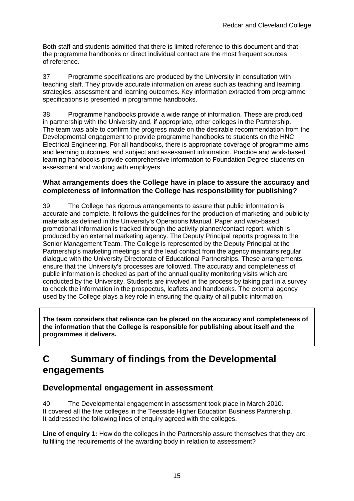Both staff and students admitted that there is limited reference to this document and that the programme handbooks or direct individual contact are the most frequent sources of reference.

37 Programme specifications are produced by the University in consultation with teaching staff. They provide accurate information on areas such as teaching and learning strategies, assessment and learning outcomes. Key information extracted from programme specifications is presented in programme handbooks.

38 Programme handbooks provide a wide range of information. These are produced in partnership with the University and, if appropriate, other colleges in the Partnership. The team was able to confirm the progress made on the desirable recommendation from the Developmental engagement to provide programme handbooks to students on the HNC Electrical Engineering. For all handbooks, there is appropriate coverage of programme aims and learning outcomes, and subject and assessment information. Practice and work-based learning handbooks provide comprehensive information to Foundation Degree students on assessment and working with employers.

#### **What arrangements does the College have in place to assure the accuracy and completeness of information the College has responsibility for publishing?**

39 The College has rigorous arrangements to assure that public information is accurate and complete. It follows the guidelines for the production of marketing and publicity materials as defined in the University's Operations Manual. Paper and web-based promotional information is tracked through the activity planner/contact report, which is produced by an external marketing agency. The Deputy Principal reports progress to the Senior Management Team. The College is represented by the Deputy Principal at the Partnership's marketing meetings and the lead contact from the agency maintains regular dialogue with the University Directorate of Educational Partnerships. These arrangements ensure that the University's processes are followed. The accuracy and completeness of public information is checked as part of the annual quality monitoring visits which are conducted by the University. Students are involved in the process by taking part in a survey to check the information in the prospectus, leaflets and handbooks. The external agency used by the College plays a key role in ensuring the quality of all public information.

**The team considers that reliance can be placed on the accuracy and completeness of the information that the College is responsible for publishing about itself and the programmes it delivers.**

## **C Summary of findings from the Developmental engagements**

## **Developmental engagement in assessment**

40 The Developmental engagement in assessment took place in March 2010. It covered all the five colleges in the Teesside Higher Education Business Partnership. It addressed the following lines of enquiry agreed with the colleges.

**Line of enquiry 1:** How do the colleges in the Partnership assure themselves that they are fulfilling the requirements of the awarding body in relation to assessment?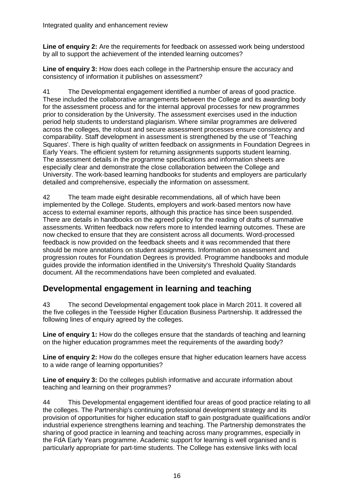**Line of enquiry 2:** Are the requirements for feedback on assessed work being understood by all to support the achievement of the intended learning outcomes?

**Line of enquiry 3:** How does each college in the Partnership ensure the accuracy and consistency of information it publishes on assessment?

41 The Developmental engagement identified a number of areas of good practice. These included the collaborative arrangements between the College and its awarding body for the assessment process and for the internal approval processes for new programmes prior to consideration by the University. The assessment exercises used in the induction period help students to understand plagiarism. Where similar programmes are delivered across the colleges, the robust and secure assessment processes ensure consistency and comparability. Staff development in assessment is strengthened by the use of 'Teaching Squares'. There is high quality of written feedback on assignments in Foundation Degrees in Early Years. The efficient system for returning assignments supports student learning. The assessment details in the programme specifications and information sheets are especially clear and demonstrate the close collaboration between the College and University. The work-based learning handbooks for students and employers are particularly detailed and comprehensive, especially the information on assessment.

42 The team made eight desirable recommendations, all of which have been implemented by the College. Students, employers and work-based mentors now have access to external examiner reports, although this practice has since been suspended. There are details in handbooks on the agreed policy for the reading of drafts of summative assessments. Written feedback now refers more to intended learning outcomes. These are now checked to ensure that they are consistent across all documents. Word-processed feedback is now provided on the feedback sheets and it was recommended that there should be more annotations on student assignments. Information on assessment and progression routes for Foundation Degrees is provided. Programme handbooks and module guides provide the information identified in the University's Threshold Quality Standards document. All the recommendations have been completed and evaluated.

## **Developmental engagement in learning and teaching**

43 The second Developmental engagement took place in March 2011. It covered all the five colleges in the Teesside Higher Education Business Partnership. It addressed the following lines of enquiry agreed by the colleges.

**Line of enquiry 1:** How do the colleges ensure that the standards of teaching and learning on the higher education programmes meet the requirements of the awarding body?

**Line of enquiry 2:** How do the colleges ensure that higher education learners have access to a wide range of learning opportunities?

Line of enquiry 3: Do the colleges publish informative and accurate information about teaching and learning on their programmes?

44 This Developmental engagement identified four areas of good practice relating to all the colleges. The Partnership's continuing professional development strategy and its provision of opportunities for higher education staff to gain postgraduate qualifications and/or industrial experience strengthens learning and teaching. The Partnership demonstrates the sharing of good practice in learning and teaching across many programmes, especially in the FdA Early Years programme. Academic support for learning is well organised and is particularly appropriate for part-time students. The College has extensive links with local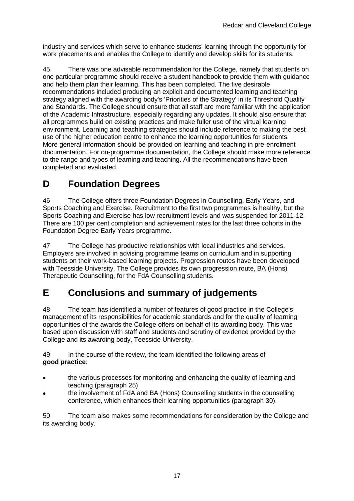industry and services which serve to enhance students' learning through the opportunity for work placements and enables the College to identify and develop skills for its students.

45 There was one advisable recommendation for the College, namely that students on one particular programme should receive a student handbook to provide them with guidance and help them plan their learning. This has been completed. The five desirable recommendations included producing an explicit and documented learning and teaching strategy aligned with the awarding body's 'Priorities of the Strategy' in its Threshold Quality and Standards. The College should ensure that all staff are more familiar with the application of the Academic Infrastructure, especially regarding any updates. It should also ensure that all programmes build on existing practices and make fuller use of the virtual learning environment. Learning and teaching strategies should include reference to making the best use of the higher education centre to enhance the learning opportunities for students. More general information should be provided on learning and teaching in pre-enrolment documentation. For on-programme documentation, the College should make more reference to the range and types of learning and teaching. All the recommendations have been completed and evaluated.

## **D Foundation Degrees**

46 The College offers three Foundation Degrees in Counselling, Early Years, and Sports Coaching and Exercise. Recruitment to the first two programmes is healthy, but the Sports Coaching and Exercise has low recruitment levels and was suspended for 2011-12. There are 100 per cent completion and achievement rates for the last three cohorts in the Foundation Degree Early Years programme.

47 The College has productive relationships with local industries and services. Employers are involved in advising programme teams on curriculum and in supporting students on their work-based learning projects. Progression routes have been developed with Teesside University. The College provides its own progression route, BA (Hons) Therapeutic Counselling, for the FdA Counselling students.

## **E Conclusions and summary of judgements**

48 The team has identified a number of features of good practice in the College's management of its responsibilities for academic standards and for the quality of learning opportunities of the awards the College offers on behalf of its awarding body. This was based upon discussion with staff and students and scrutiny of evidence provided by the College and its awarding body, Teesside University.

49 In the course of the review, the team identified the following areas of **good practice**:

- the various processes for monitoring and enhancing the quality of learning and  $\bullet$ teaching (paragraph 25)
- the involvement of FdA and BA (Hons) Counselling students in the counselling conference, which enhances their learning opportunities (paragraph 30).

50 The team also makes some recommendations for consideration by the College and its awarding body.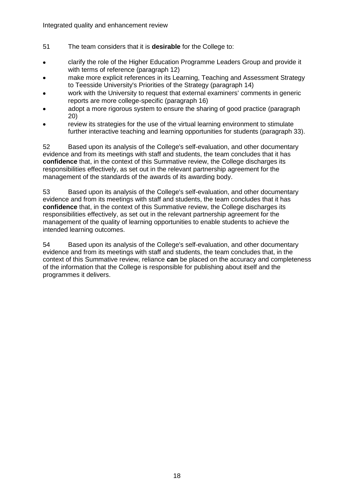- 51 The team considers that it is **desirable** for the College to:
- clarify the role of the Higher Education Programme Leaders Group and provide it with terms of reference (paragraph 12)
- make more explicit references in its Learning, Teaching and Assessment Strategy to Teesside University's Priorities of the Strategy (paragraph 14)
- work with the University to request that external examiners' comments in generic reports are more college-specific (paragraph 16)
- adopt a more rigorous system to ensure the sharing of good practice (paragraph 20)
- review its strategies for the use of the virtual learning environment to stimulate further interactive teaching and learning opportunities for students (paragraph 33).

52 Based upon its analysis of the College's self-evaluation, and other documentary evidence and from its meetings with staff and students, the team concludes that it has **confidence** that, in the context of this Summative review, the College discharges its responsibilities effectively, as set out in the relevant partnership agreement for the management of the standards of the awards of its awarding body.

53 Based upon its analysis of the College's self-evaluation, and other documentary evidence and from its meetings with staff and students, the team concludes that it has **confidence** that, in the context of this Summative review, the College discharges its responsibilities effectively, as set out in the relevant partnership agreement for the management of the quality of learning opportunities to enable students to achieve the intended learning outcomes.

54 Based upon its analysis of the College's self-evaluation, and other documentary evidence and from its meetings with staff and students, the team concludes that, in the context of this Summative review, reliance **can** be placed on the accuracy and completeness of the information that the College is responsible for publishing about itself and the programmes it delivers.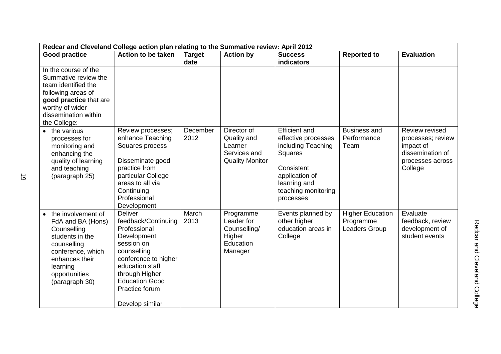| Redcar and Cleveland College action plan relating to the Summative review: April 2012                                                                                            |                                                                                                                                                                                                                              |                       |                                                                                 |                                                                                                                                                                         |                                                       |                                                                                                     |  |
|----------------------------------------------------------------------------------------------------------------------------------------------------------------------------------|------------------------------------------------------------------------------------------------------------------------------------------------------------------------------------------------------------------------------|-----------------------|---------------------------------------------------------------------------------|-------------------------------------------------------------------------------------------------------------------------------------------------------------------------|-------------------------------------------------------|-----------------------------------------------------------------------------------------------------|--|
| <b>Good practice</b>                                                                                                                                                             | Action to be taken                                                                                                                                                                                                           | <b>Target</b><br>date | <b>Action by</b>                                                                | <b>Success</b><br>indicators                                                                                                                                            | <b>Reported to</b>                                    | <b>Evaluation</b>                                                                                   |  |
| In the course of the<br>Summative review the<br>team identified the<br>following areas of<br>good practice that are<br>worthy of wider<br>dissemination within<br>the College:   |                                                                                                                                                                                                                              |                       |                                                                                 |                                                                                                                                                                         |                                                       |                                                                                                     |  |
| • the various<br>processes for<br>monitoring and<br>enhancing the<br>quality of learning<br>and teaching<br>(paragraph 25)                                                       | Review processes;<br>enhance Teaching<br>Squares process<br>Disseminate good<br>practice from<br>particular College<br>areas to all via<br>Continuing<br>Professional<br>Development                                         | December<br>2012      | Director of<br>Quality and<br>Learner<br>Services and<br><b>Quality Monitor</b> | <b>Efficient and</b><br>effective processes<br>including Teaching<br><b>Squares</b><br>Consistent<br>application of<br>learning and<br>teaching monitoring<br>processes | <b>Business and</b><br>Performance<br>Team            | Review revised<br>processes; review<br>impact of<br>dissemination of<br>processes across<br>College |  |
| • the involvement of<br>FdA and BA (Hons)<br>Counselling<br>students in the<br>counselling<br>conference, which<br>enhances their<br>learning<br>opportunities<br>(paragraph 30) | <b>Deliver</b><br>feedback/Continuing<br>Professional<br>Development<br>session on<br>counselling<br>conference to higher<br>education staff<br>through Higher<br><b>Education Good</b><br>Practice forum<br>Develop similar | March<br>2013         | Programme<br>Leader for<br>Counselling/<br>Higher<br>Education<br>Manager       | Events planned by<br>other higher<br>education areas in<br>College                                                                                                      | <b>Higher Education</b><br>Programme<br>Leaders Group | Evaluate<br>feedback, review<br>development of<br>student events                                    |  |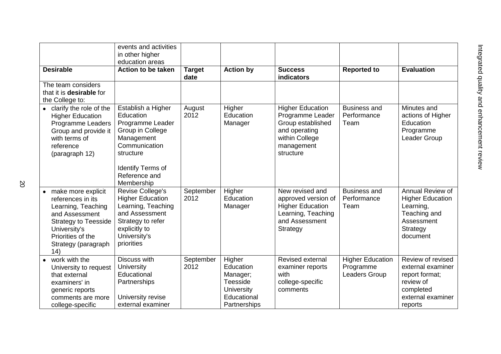|                                                                                                                                                                                      | events and activities<br>in other higher<br>education areas                                                                                             |                       |                                                                                          |                                                                                                                                |                                                       |                                                                                                                    |
|--------------------------------------------------------------------------------------------------------------------------------------------------------------------------------------|---------------------------------------------------------------------------------------------------------------------------------------------------------|-----------------------|------------------------------------------------------------------------------------------|--------------------------------------------------------------------------------------------------------------------------------|-------------------------------------------------------|--------------------------------------------------------------------------------------------------------------------|
| <b>Desirable</b>                                                                                                                                                                     | Action to be taken                                                                                                                                      | <b>Target</b><br>date | <b>Action by</b>                                                                         | <b>Success</b><br>indicators                                                                                                   | <b>Reported to</b>                                    | <b>Evaluation</b>                                                                                                  |
| The team considers<br>that it is <b>desirable</b> for<br>the College to:                                                                                                             |                                                                                                                                                         |                       |                                                                                          |                                                                                                                                |                                                       |                                                                                                                    |
| • clarify the role of the<br><b>Higher Education</b><br><b>Programme Leaders</b><br>Group and provide it<br>with terms of<br>reference<br>(paragraph 12)                             | Establish a Higher<br>Education<br>Programme Leader<br>Group in College<br>Management<br>Communication<br>structure                                     | August<br>2012        | Higher<br>Education<br>Manager                                                           | <b>Higher Education</b><br>Programme Leader<br>Group established<br>and operating<br>within College<br>management<br>structure | <b>Business and</b><br>Performance<br>Team            | Minutes and<br>actions of Higher<br>Education<br>Programme<br>Leader Group                                         |
|                                                                                                                                                                                      | <b>Identify Terms of</b><br>Reference and<br>Membership                                                                                                 |                       |                                                                                          |                                                                                                                                |                                                       |                                                                                                                    |
| • make more explicit<br>references in its<br>Learning, Teaching<br>and Assessment<br><b>Strategy to Teesside</b><br>University's<br>Priorities of the<br>Strategy (paragraph<br>(14) | Revise College's<br><b>Higher Education</b><br>Learning, Teaching<br>and Assessment<br>Strategy to refer<br>explicitly to<br>University's<br>priorities | September<br>2012     | Higher<br>Education<br>Manager                                                           | New revised and<br>approved version of<br><b>Higher Education</b><br>Learning, Teaching<br>and Assessment<br>Strategy          | <b>Business and</b><br>Performance<br>Team            | Annual Review of<br><b>Higher Education</b><br>Learning,<br>Teaching and<br>Assessment<br>Strategy<br>document     |
| work with the<br>University to request<br>that external<br>examiners' in<br>generic reports<br>comments are more<br>college-specific                                                 | Discuss with<br><b>University</b><br>Educational<br>Partnerships<br>University revise<br>external examiner                                              | September<br>2012     | Higher<br>Education<br>Manager;<br>Teesside<br>University<br>Educational<br>Partnerships | Revised external<br>examiner reports<br>with<br>college-specific<br>comments                                                   | <b>Higher Education</b><br>Programme<br>Leaders Group | Review of revised<br>external examiner<br>report format;<br>review of<br>completed<br>external examiner<br>reports |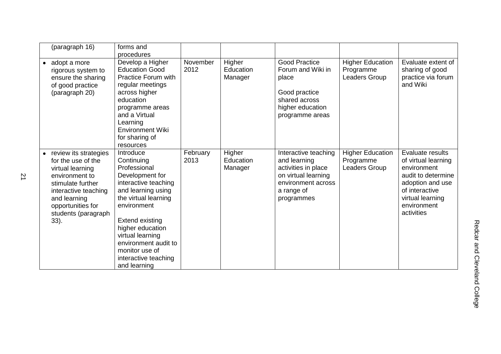| (paragraph 16)                                                                                                                                                                                     | forms and<br>procedures                                                                                                                                                                                                                                                                             |                  |                                |                                                                                                                                      |                                                       |                                                                                                                                                                     |
|----------------------------------------------------------------------------------------------------------------------------------------------------------------------------------------------------|-----------------------------------------------------------------------------------------------------------------------------------------------------------------------------------------------------------------------------------------------------------------------------------------------------|------------------|--------------------------------|--------------------------------------------------------------------------------------------------------------------------------------|-------------------------------------------------------|---------------------------------------------------------------------------------------------------------------------------------------------------------------------|
| adopt a more<br>$\bullet$<br>rigorous system to<br>ensure the sharing<br>of good practice<br>(paragraph 20)                                                                                        | Develop a Higher<br><b>Education Good</b><br><b>Practice Forum with</b><br>regular meetings<br>across higher<br>education<br>programme areas<br>and a Virtual<br>Learning<br><b>Environment Wiki</b><br>for sharing of<br>resources                                                                 | November<br>2012 | Higher<br>Education<br>Manager | <b>Good Practice</b><br>Forum and Wiki in<br>place<br>Good practice<br>shared across<br>higher education<br>programme areas          | <b>Higher Education</b><br>Programme<br>Leaders Group | Evaluate extent of<br>sharing of good<br>practice via forum<br>and Wiki                                                                                             |
| review its strategies<br>for the use of the<br>virtual learning<br>environment to<br>stimulate further<br>interactive teaching<br>and learning<br>opportunities for<br>students (paragraph<br>33). | Introduce<br>Continuing<br>Professional<br>Development for<br>interactive teaching<br>and learning using<br>the virtual learning<br>environment<br><b>Extend existing</b><br>higher education<br>virtual learning<br>environment audit to<br>monitor use of<br>interactive teaching<br>and learning | February<br>2013 | Higher<br>Education<br>Manager | Interactive teaching<br>and learning<br>activities in place<br>on virtual learning<br>environment across<br>a range of<br>programmes | <b>Higher Education</b><br>Programme<br>Leaders Group | Evaluate results<br>of virtual learning<br>environment<br>audit to determine<br>adoption and use<br>of interactive<br>virtual learning<br>environment<br>activities |